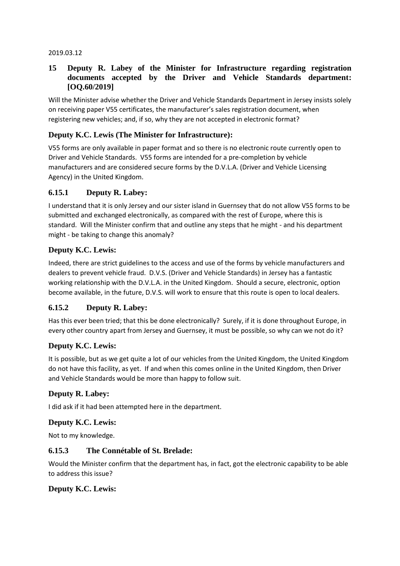#### 2019.03.12

#### **15 Deputy R. Labey of the Minister for Infrastructure regarding registration documents accepted by the Driver and Vehicle Standards department: [OQ.60/2019]**

Will the Minister advise whether the Driver and Vehicle Standards Department in Jersey insists solely on receiving paper V55 certificates, the manufacturer's sales registration document, when registering new vehicles; and, if so, why they are not accepted in electronic format?

### **Deputy K.C. Lewis (The Minister for Infrastructure):**

V55 forms are only available in paper format and so there is no electronic route currently open to Driver and Vehicle Standards. V55 forms are intended for a pre-completion by vehicle manufacturers and are considered secure forms by the D.V.L.A. (Driver and Vehicle Licensing Agency) in the United Kingdom.

### **6.15.1 Deputy R. Labey:**

I understand that it is only Jersey and our sister island in Guernsey that do not allow V55 forms to be submitted and exchanged electronically, as compared with the rest of Europe, where this is standard. Will the Minister confirm that and outline any steps that he might - and his department might - be taking to change this anomaly?

#### **Deputy K.C. Lewis:**

Indeed, there are strict guidelines to the access and use of the forms by vehicle manufacturers and dealers to prevent vehicle fraud. D.V.S. (Driver and Vehicle Standards) in Jersey has a fantastic working relationship with the D.V.L.A. in the United Kingdom. Should a secure, electronic, option become available, in the future, D.V.S. will work to ensure that this route is open to local dealers.

#### **6.15.2 Deputy R. Labey:**

Has this ever been tried; that this be done electronically? Surely, if it is done throughout Europe, in every other country apart from Jersey and Guernsey, it must be possible, so why can we not do it?

#### **Deputy K.C. Lewis:**

It is possible, but as we get quite a lot of our vehicles from the United Kingdom, the United Kingdom do not have this facility, as yet. If and when this comes online in the United Kingdom, then Driver and Vehicle Standards would be more than happy to follow suit.

#### **Deputy R. Labey:**

I did ask if it had been attempted here in the department.

#### **Deputy K.C. Lewis:**

Not to my knowledge.

#### **6.15.3 The Connétable of St. Brelade:**

Would the Minister confirm that the department has, in fact, got the electronic capability to be able to address this issue?

#### **Deputy K.C. Lewis:**